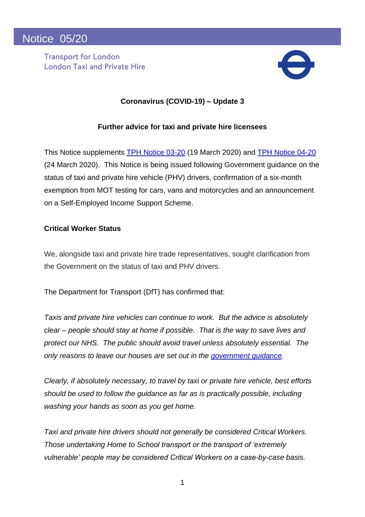**Transport for London London Taxi and Private Hire**



# **Coronavirus (COVID-19) – Update 3**

## **Further advice for taxi and private hire licensees**

This Notice supplements [TPH Notice 03-20](http://content.tfl.gov.uk/03-20-tph-notice-coronavirus-update.pdf) (19 March 2020) and [TPH Notice 04-20](http://content.tfl.gov.uk/04-20-tph-notice-coronavirus-update-2.pdf) (24 March 2020). This Notice is being issued following Government guidance on the status of taxi and private hire vehicle (PHV) drivers, confirmation of a six-month exemption from MOT testing for cars, vans and motorcycles and an announcement on a Self-Employed Income Support Scheme.

### **Critical Worker Status**

We, alongside taxi and private hire trade representatives, sought clarification from the Government on the status of taxi and PHV drivers.

The Department for Transport (DfT) has confirmed that:

*Taxis and private hire vehicles can continue to work. But the advice is absolutely clear – people should stay at home if possible. That is the way to save lives and protect our NHS. The public should avoid travel unless absolutely essential. The only reasons to leave our houses are set out in the [government guidance.](https://www.gov.uk/government/publications/full-guidance-on-staying-at-home-and-away-from-others)* 

*Clearly, if absolutely necessary, to travel by taxi or private hire vehicle, best efforts should be used to follow the guidance as far as is practically possible, including washing your hands as soon as you get home.*

*Taxi and private hire drivers should not generally be considered Critical Workers. Those undertaking Home to School transport or the transport of 'extremely [vulnerable'](https://www.gov.uk/government/news/major-new-measures-to-protect-people-at-highest-risk-from-coronavirus) people may be considered Critical Workers on a case-by-case basis.*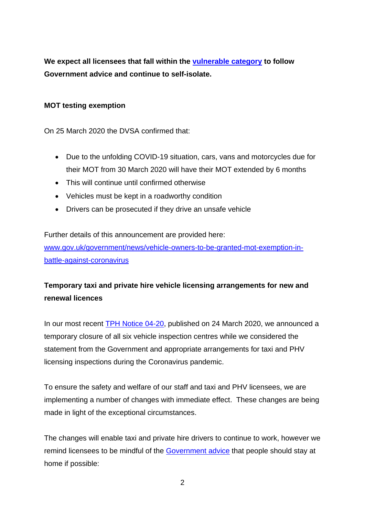**We expect all licensees that fall within the [vulnerable category](https://www.gov.uk/government/news/major-new-measures-to-protect-people-at-highest-risk-from-coronavirus) to follow Government advice and continue to self-isolate.**

### **MOT testing exemption**

On 25 March 2020 the DVSA confirmed that:

- Due to the unfolding COVID-19 situation, cars, vans and motorcycles due for their MOT from 30 March 2020 will have their MOT extended by 6 months
- This will continue until confirmed otherwise
- Vehicles must be kept in a roadworthy condition
- Drivers can be prosecuted if they drive an unsafe vehicle

Further details of this announcement are provided here: [www.gov.uk/government/news/vehicle-owners-to-be-granted-mot-exemption-in](https://www.gov.uk/government/news/vehicle-owners-to-be-granted-mot-exemption-in-battle-against-coronavirus)[battle-against-coronavirus](https://www.gov.uk/government/news/vehicle-owners-to-be-granted-mot-exemption-in-battle-against-coronavirus)

# **Temporary taxi and private hire vehicle licensing arrangements for new and renewal licences**

In our most recent **TPH Notice 04-20**, published on 24 March 2020, we announced a temporary closure of all six vehicle inspection centres while we considered the statement from the Government and appropriate arrangements for taxi and PHV licensing inspections during the Coronavirus pandemic.

To ensure the safety and welfare of our staff and taxi and PHV licensees, we are implementing a number of changes with immediate effect. These changes are being made in light of the exceptional circumstances.

The changes will enable taxi and private hire drivers to continue to work, however we remind licensees to be mindful of the [Government advice](https://www.gov.uk/government/publications/full-guidance-on-staying-at-home-and-away-from-others) that people should stay at home if possible: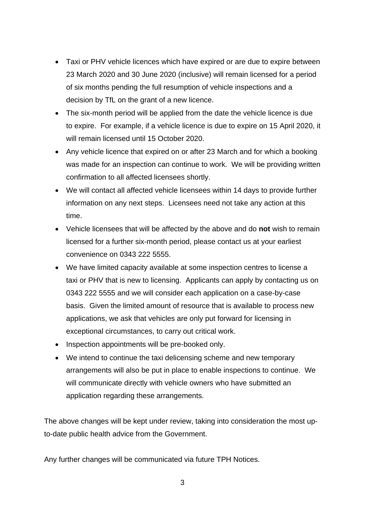- Taxi or PHV vehicle licences which have expired or are due to expire between 23 March 2020 and 30 June 2020 (inclusive) will remain licensed for a period of six months pending the full resumption of vehicle inspections and a decision by TfL on the grant of a new licence.
- The six-month period will be applied from the date the vehicle licence is due to expire. For example, if a vehicle licence is due to expire on 15 April 2020, it will remain licensed until 15 October 2020.
- Any vehicle licence that expired on or after 23 March and for which a booking was made for an inspection can continue to work. We will be providing written confirmation to all affected licensees shortly.
- We will contact all affected vehicle licensees within 14 days to provide further information on any next steps. Licensees need not take any action at this time.
- Vehicle licensees that will be affected by the above and do **not** wish to remain licensed for a further six-month period, please contact us at your earliest convenience on 0343 222 5555.
- We have limited capacity available at some inspection centres to license a taxi or PHV that is new to licensing. Applicants can apply by contacting us on 0343 222 5555 and we will consider each application on a case-by-case basis. Given the limited amount of resource that is available to process new applications, we ask that vehicles are only put forward for licensing in exceptional circumstances, to carry out critical work.
- Inspection appointments will be pre-booked only.
- We intend to continue the taxi delicensing scheme and new temporary arrangements will also be put in place to enable inspections to continue. We will communicate directly with vehicle owners who have submitted an application regarding these arrangements.

The above changes will be kept under review, taking into consideration the most upto-date public health advice from the Government.

Any further changes will be communicated via future TPH Notices.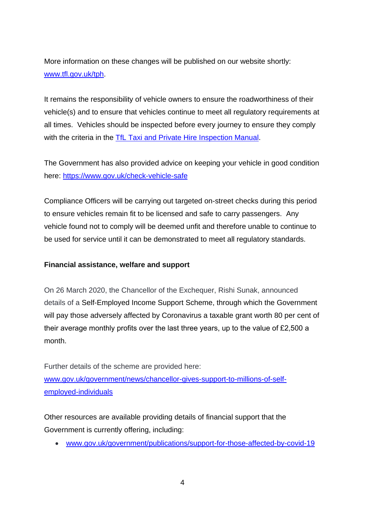More information on these changes will be published on our website shortly: [www.tfl.gov.uk/tph.](http://www.tfl.gov.uk/tph)

It remains the responsibility of vehicle owners to ensure the roadworthiness of their vehicle(s) and to ensure that vehicles continue to meet all regulatory requirements at all times. Vehicles should be inspected before every journey to ensure they comply with the criteria in the [TfL Taxi and Private Hire Inspection Manual.](http://content.tfl.gov.uk/vehicle-licence-inspection-manual-v19.pdf)

The Government has also provided advice on keeping your vehicle in good condition here:<https://www.gov.uk/check-vehicle-safe>

Compliance Officers will be carrying out targeted on-street checks during this period to ensure vehicles remain fit to be licensed and safe to carry passengers. Any vehicle found not to comply will be deemed unfit and therefore unable to continue to be used for service until it can be demonstrated to meet all regulatory standards.

### **Financial assistance, welfare and support**

On 26 March 2020, the Chancellor of the Exchequer, Rishi Sunak, announced details of a Self-Employed Income Support Scheme, through which the Government will pay those adversely affected by Coronavirus a taxable grant worth 80 per cent of their average monthly profits over the last three years, up to the value of £2,500 a month.

Further details of the scheme are provided here: [www.gov.uk/government/news/chancellor-gives-support-to-millions-of-self](https://www.gov.uk/government/news/chancellor-gives-support-to-millions-of-self-employed-individuals)[employed-individuals](https://www.gov.uk/government/news/chancellor-gives-support-to-millions-of-self-employed-individuals)

Other resources are available providing details of financial support that the Government is currently offering, including:

• [www.gov.uk/government/publications/support-for-those-affected-by-covid-19](https://www.gov.uk/government/publications/support-for-those-affected-by-covid-19)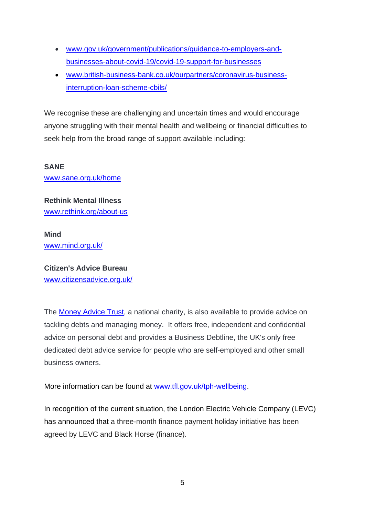- [www.gov.uk/government/publications/guidance-to-employers-and](https://www.gov.uk/government/publications/guidance-to-employers-and-businesses-about-covid-19/covid-19-support-for-businesses)[businesses-about-covid-19/covid-19-support-for-businesses](https://www.gov.uk/government/publications/guidance-to-employers-and-businesses-about-covid-19/covid-19-support-for-businesses)
- [www.british-business-bank.co.uk/ourpartners/coronavirus-business](https://www.british-business-bank.co.uk/ourpartners/coronavirus-business-interruption-loan-scheme-cbils/)[interruption-loan-scheme-cbils/](https://www.british-business-bank.co.uk/ourpartners/coronavirus-business-interruption-loan-scheme-cbils/)

We recognise these are challenging and uncertain times and would encourage anyone struggling with their mental health and wellbeing or financial difficulties to seek help from the broad range of support available including:

**SANE** [www.sane.org.uk/home](http://www.sane.org.uk/home)

**Rethink Mental Illness** [www.rethink.org/about-us](https://www.rethink.org/about-us)

**Mind** [www.mind.org.uk/](https://www.mind.org.uk/)

**Citizen's Advice Bureau** [www.citizensadvice.org.uk/](https://www.citizensadvice.org.uk/)

The [Money Advice Trust,](http://www.moneyadvicetrust.org/Pages/default.aspx) a national charity, is also available to provide advice on tackling debts and managing money. It offers free, independent and confidential advice on personal debt and provides a Business Debtline, the UK's only free dedicated debt advice service for people who are self-employed and other small business owners.

More information can be found at [www.tfl.gov.uk/tph-wellbeing.](http://www.tfl.gov.uk/tph-wellbeing)

In recognition of the current situation, the London Electric Vehicle Company (LEVC) has announced that a three-month finance payment holiday initiative has been agreed by LEVC and Black Horse (finance).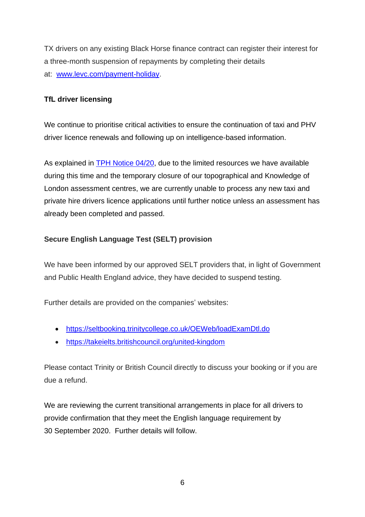TX drivers on any existing Black Horse finance contract can register their interest for a three-month suspension of repayments by completing their details at: [www.levc.com/payment-holiday.](http://www.levc.com/payment-holiday)

## **TfL driver licensing**

We continue to prioritise critical activities to ensure the continuation of taxi and PHV driver licence renewals and following up on intelligence-based information.

As explained in **TPH Notice 04/20**, due to the limited resources we have available during this time and the temporary closure of our topographical and Knowledge of London assessment centres, we are currently unable to process any new taxi and private hire drivers licence applications until further notice unless an assessment has already been completed and passed.

# **Secure English Language Test (SELT) provision**

We have been informed by our approved SELT providers that, in light of Government and Public Health England advice, they have decided to suspend testing.

Further details are provided on the companies' websites:

- <https://seltbooking.trinitycollege.co.uk/OEWeb/loadExamDtl.do>
- <https://takeielts.britishcouncil.org/united-kingdom>

Please contact Trinity or British Council directly to discuss your booking or if you are due a refund.

We are reviewing the current transitional arrangements in place for all drivers to provide confirmation that they meet the English language requirement by 30 September 2020. Further details will follow.